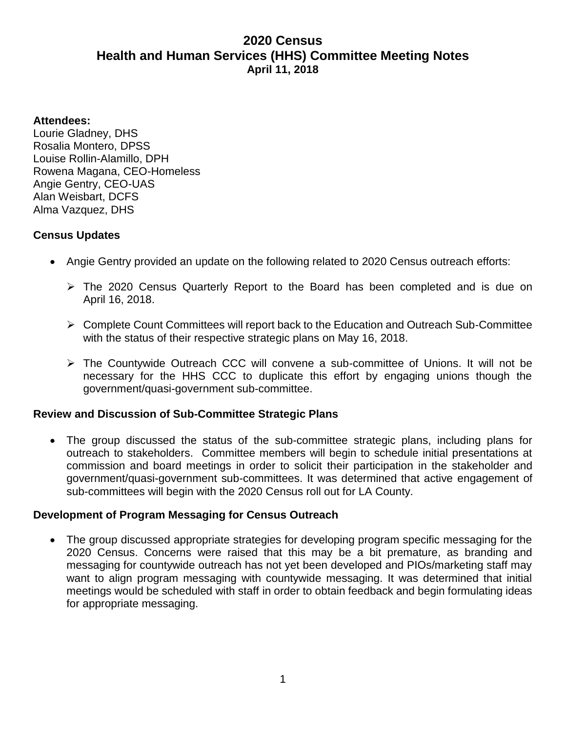# **2020 Census Health and Human Services (HHS) Committee Meeting Notes April 11, 2018**

#### **Attendees:**

Lourie Gladney, DHS Rosalia Montero, DPSS Louise Rollin-Alamillo, DPH Rowena Magana, CEO-Homeless Angie Gentry, CEO-UAS Alan Weisbart, DCFS Alma Vazquez, DHS

## **Census Updates**

- Angie Gentry provided an update on the following related to 2020 Census outreach efforts:
	- ➢ The 2020 Census Quarterly Report to the Board has been completed and is due on April 16, 2018.
	- ➢ Complete Count Committees will report back to the Education and Outreach Sub-Committee with the status of their respective strategic plans on May 16, 2018.
	- ➢ The Countywide Outreach CCC will convene a sub-committee of Unions. It will not be necessary for the HHS CCC to duplicate this effort by engaging unions though the government/quasi-government sub-committee.

### **Review and Discussion of Sub-Committee Strategic Plans**

• The group discussed the status of the sub-committee strategic plans, including plans for outreach to stakeholders. Committee members will begin to schedule initial presentations at commission and board meetings in order to solicit their participation in the stakeholder and government/quasi-government sub-committees. It was determined that active engagement of sub-committees will begin with the 2020 Census roll out for LA County.

### **Development of Program Messaging for Census Outreach**

• The group discussed appropriate strategies for developing program specific messaging for the 2020 Census. Concerns were raised that this may be a bit premature, as branding and messaging for countywide outreach has not yet been developed and PIOs/marketing staff may want to align program messaging with countywide messaging. It was determined that initial meetings would be scheduled with staff in order to obtain feedback and begin formulating ideas for appropriate messaging.